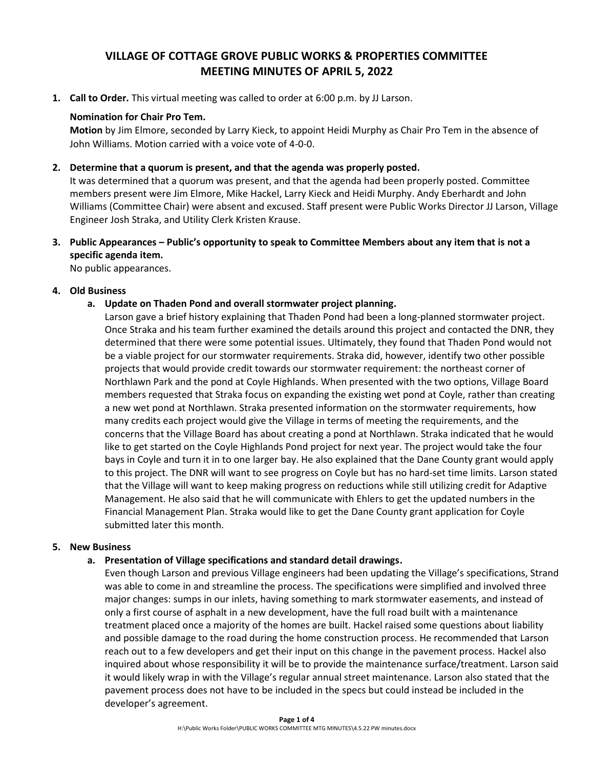# **VILLAGE OF COTTAGE GROVE PUBLIC WORKS & PROPERTIES COMMITTEE MEETING MINUTES OF APRIL 5, 2022**

**1. Call to Order.** This virtual meeting was called to order at 6:00 p.m. by JJ Larson.

# **Nomination for Chair Pro Tem.**

**Motion** by Jim Elmore, seconded by Larry Kieck, to appoint Heidi Murphy as Chair Pro Tem in the absence of John Williams. Motion carried with a voice vote of 4-0-0.

# **2. Determine that a quorum is present, and that the agenda was properly posted.**

It was determined that a quorum was present, and that the agenda had been properly posted. Committee members present were Jim Elmore, Mike Hackel, Larry Kieck and Heidi Murphy. Andy Eberhardt and John Williams (Committee Chair) were absent and excused. Staff present were Public Works Director JJ Larson, Village Engineer Josh Straka, and Utility Clerk Kristen Krause.

**3. Public Appearances – Public's opportunity to speak to Committee Members about any item that is not a specific agenda item.**

No public appearances.

## **4. Old Business**

# **a. Update on Thaden Pond and overall stormwater project planning.**

Larson gave a brief history explaining that Thaden Pond had been a long-planned stormwater project. Once Straka and his team further examined the details around this project and contacted the DNR, they determined that there were some potential issues. Ultimately, they found that Thaden Pond would not be a viable project for our stormwater requirements. Straka did, however, identify two other possible projects that would provide credit towards our stormwater requirement: the northeast corner of Northlawn Park and the pond at Coyle Highlands. When presented with the two options, Village Board members requested that Straka focus on expanding the existing wet pond at Coyle, rather than creating a new wet pond at Northlawn. Straka presented information on the stormwater requirements, how many credits each project would give the Village in terms of meeting the requirements, and the concerns that the Village Board has about creating a pond at Northlawn. Straka indicated that he would like to get started on the Coyle Highlands Pond project for next year. The project would take the four bays in Coyle and turn it in to one larger bay. He also explained that the Dane County grant would apply to this project. The DNR will want to see progress on Coyle but has no hard-set time limits. Larson stated that the Village will want to keep making progress on reductions while still utilizing credit for Adaptive Management. He also said that he will communicate with Ehlers to get the updated numbers in the Financial Management Plan. Straka would like to get the Dane County grant application for Coyle submitted later this month.

#### **5. New Business**

# **a. Presentation of Village specifications and standard detail drawings.**

Even though Larson and previous Village engineers had been updating the Village's specifications, Strand was able to come in and streamline the process. The specifications were simplified and involved three major changes: sumps in our inlets, having something to mark stormwater easements, and instead of only a first course of asphalt in a new development, have the full road built with a maintenance treatment placed once a majority of the homes are built. Hackel raised some questions about liability and possible damage to the road during the home construction process. He recommended that Larson reach out to a few developers and get their input on this change in the pavement process. Hackel also inquired about whose responsibility it will be to provide the maintenance surface/treatment. Larson said it would likely wrap in with the Village's regular annual street maintenance. Larson also stated that the pavement process does not have to be included in the specs but could instead be included in the developer's agreement.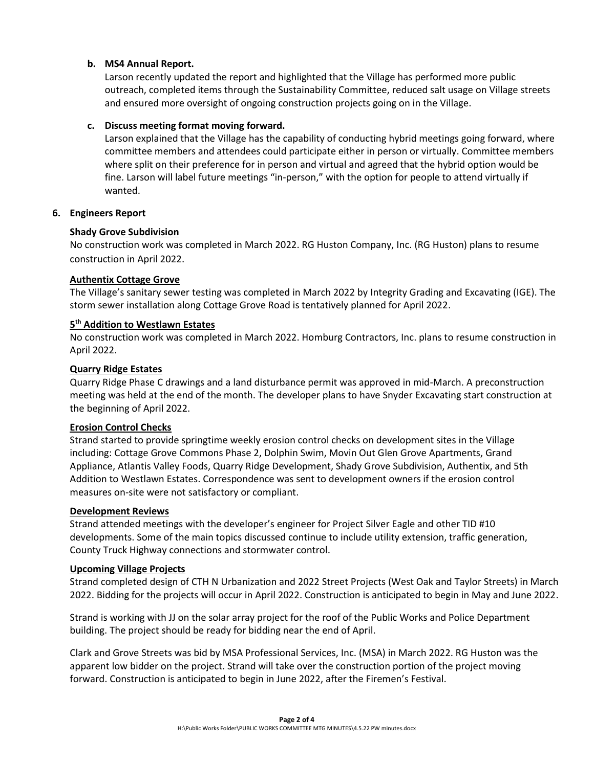# **b. MS4 Annual Report.**

Larson recently updated the report and highlighted that the Village has performed more public outreach, completed items through the Sustainability Committee, reduced salt usage on Village streets and ensured more oversight of ongoing construction projects going on in the Village.

## **c. Discuss meeting format moving forward.**

Larson explained that the Village has the capability of conducting hybrid meetings going forward, where committee members and attendees could participate either in person or virtually. Committee members where split on their preference for in person and virtual and agreed that the hybrid option would be fine. Larson will label future meetings "in-person," with the option for people to attend virtually if wanted.

# **6. Engineers Report**

## **Shady Grove Subdivision**

No construction work was completed in March 2022. RG Huston Company, Inc. (RG Huston) plans to resume construction in April 2022.

## **Authentix Cottage Grove**

The Village's sanitary sewer testing was completed in March 2022 by Integrity Grading and Excavating (IGE). The storm sewer installation along Cottage Grove Road is tentatively planned for April 2022.

# **5 th Addition to Westlawn Estates**

No construction work was completed in March 2022. Homburg Contractors, Inc. plans to resume construction in April 2022.

## **Quarry Ridge Estates**

Quarry Ridge Phase C drawings and a land disturbance permit was approved in mid-March. A preconstruction meeting was held at the end of the month. The developer plans to have Snyder Excavating start construction at the beginning of April 2022.

#### **Erosion Control Checks**

Strand started to provide springtime weekly erosion control checks on development sites in the Village including: Cottage Grove Commons Phase 2, Dolphin Swim, Movin Out Glen Grove Apartments, Grand Appliance, Atlantis Valley Foods, Quarry Ridge Development, Shady Grove Subdivision, Authentix, and 5th Addition to Westlawn Estates. Correspondence was sent to development owners if the erosion control measures on-site were not satisfactory or compliant.

#### **Development Reviews**

Strand attended meetings with the developer's engineer for Project Silver Eagle and other TID #10 developments. Some of the main topics discussed continue to include utility extension, traffic generation, County Truck Highway connections and stormwater control.

#### **Upcoming Village Projects**

Strand completed design of CTH N Urbanization and 2022 Street Projects (West Oak and Taylor Streets) in March 2022. Bidding for the projects will occur in April 2022. Construction is anticipated to begin in May and June 2022.

Strand is working with JJ on the solar array project for the roof of the Public Works and Police Department building. The project should be ready for bidding near the end of April.

Clark and Grove Streets was bid by MSA Professional Services, Inc. (MSA) in March 2022. RG Huston was the apparent low bidder on the project. Strand will take over the construction portion of the project moving forward. Construction is anticipated to begin in June 2022, after the Firemen's Festival.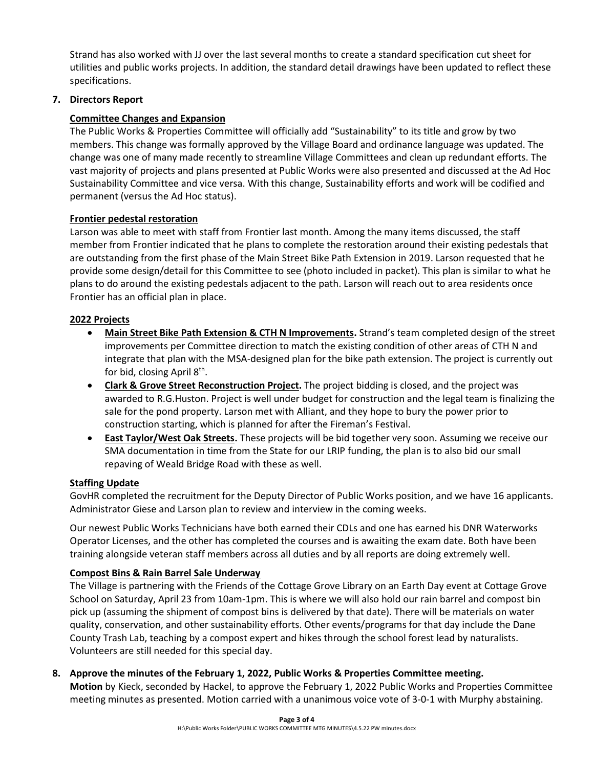Strand has also worked with JJ over the last several months to create a standard specification cut sheet for utilities and public works projects. In addition, the standard detail drawings have been updated to reflect these specifications.

# **7. Directors Report**

# **Committee Changes and Expansion**

The Public Works & Properties Committee will officially add "Sustainability" to its title and grow by two members. This change was formally approved by the Village Board and ordinance language was updated. The change was one of many made recently to streamline Village Committees and clean up redundant efforts. The vast majority of projects and plans presented at Public Works were also presented and discussed at the Ad Hoc Sustainability Committee and vice versa. With this change, Sustainability efforts and work will be codified and permanent (versus the Ad Hoc status).

# **Frontier pedestal restoration**

Larson was able to meet with staff from Frontier last month. Among the many items discussed, the staff member from Frontier indicated that he plans to complete the restoration around their existing pedestals that are outstanding from the first phase of the Main Street Bike Path Extension in 2019. Larson requested that he provide some design/detail for this Committee to see (photo included in packet). This plan is similar to what he plans to do around the existing pedestals adjacent to the path. Larson will reach out to area residents once Frontier has an official plan in place.

# **2022 Projects**

- **Main Street Bike Path Extension & CTH N Improvements.** Strand's team completed design of the street improvements per Committee direction to match the existing condition of other areas of CTH N and integrate that plan with the MSA-designed plan for the bike path extension. The project is currently out for bid, closing April  $8^{\text{th}}$ .
- **Clark & Grove Street Reconstruction Project.** The project bidding is closed, and the project was awarded to R.G.Huston. Project is well under budget for construction and the legal team is finalizing the sale for the pond property. Larson met with Alliant, and they hope to bury the power prior to construction starting, which is planned for after the Fireman's Festival.
- **East Taylor/West Oak Streets.** These projects will be bid together very soon. Assuming we receive our SMA documentation in time from the State for our LRIP funding, the plan is to also bid our small repaving of Weald Bridge Road with these as well.

# **Staffing Update**

GovHR completed the recruitment for the Deputy Director of Public Works position, and we have 16 applicants. Administrator Giese and Larson plan to review and interview in the coming weeks.

Our newest Public Works Technicians have both earned their CDLs and one has earned his DNR Waterworks Operator Licenses, and the other has completed the courses and is awaiting the exam date. Both have been training alongside veteran staff members across all duties and by all reports are doing extremely well.

# **Compost Bins & Rain Barrel Sale Underway**

The Village is partnering with the Friends of the Cottage Grove Library on an Earth Day event at Cottage Grove School on Saturday, April 23 from 10am-1pm. This is where we will also hold our rain barrel and compost bin pick up (assuming the shipment of compost bins is delivered by that date). There will be materials on water quality, conservation, and other sustainability efforts. Other events/programs for that day include the Dane County Trash Lab, teaching by a compost expert and hikes through the school forest lead by naturalists. Volunteers are still needed for this special day.

**8. Approve the minutes of the February 1, 2022, Public Works & Properties Committee meeting.**

**Motion** by Kieck, seconded by Hackel, to approve the February 1, 2022 Public Works and Properties Committee meeting minutes as presented. Motion carried with a unanimous voice vote of 3-0-1 with Murphy abstaining.